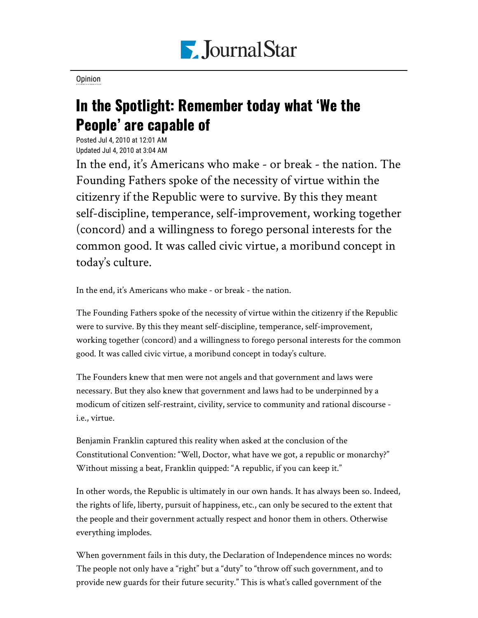

[Opinion](https://www.pjstar.com/search?text=Opinion)

## In the Spotlight: Remember today what 'We the People' are capable of

Posted Jul 4, 2010 at 12:01 AM Updated Jul 4, 2010 at 3:04 AM

In the end, it's Americans who make - or break - the nation. The Founding Fathers spoke of the necessity of virtue within the citizenry if the Republic were to survive. By this they meant self-discipline, temperance, self-improvement, working together (concord) and a willingness to forego personal interests for the common good. It was called civic virtue, a moribund concept in today's culture.

In the end, it's Americans who make - or break - the nation.

The Founding Fathers spoke of the necessity of virtue within the citizenry if the Republic were to survive. By this they meant self-discipline, temperance, self-improvement, working together (concord) and a willingness to forego personal interests for the common good. It was called civic virtue, a moribund concept in today's culture.

The Founders knew that men were not angels and that government and laws were necessary. But they also knew that government and laws had to be underpinned by a modicum of citizen self-restraint, civility, service to community and rational discourse i.e., virtue.

Benjamin Franklin captured this reality when asked at the conclusion of the Constitutional Convention: "Well, Doctor, what have we got, a republic or monarchy?" Without missing a beat, Franklin quipped: "A republic, if you can keep it."

In other words, the Republic is ultimately in our own hands. It has always been so. Indeed, the rights of life, liberty, pursuit of happiness, etc., can only be secured to the extent that the people and their government actually respect and honor them in others. Otherwise everything implodes.

When government fails in this duty, the Declaration of Independence minces no words: The people not only have a "right" but a "duty" to "throw off such government, and to provide new guards for their future security." This is what's called government of the